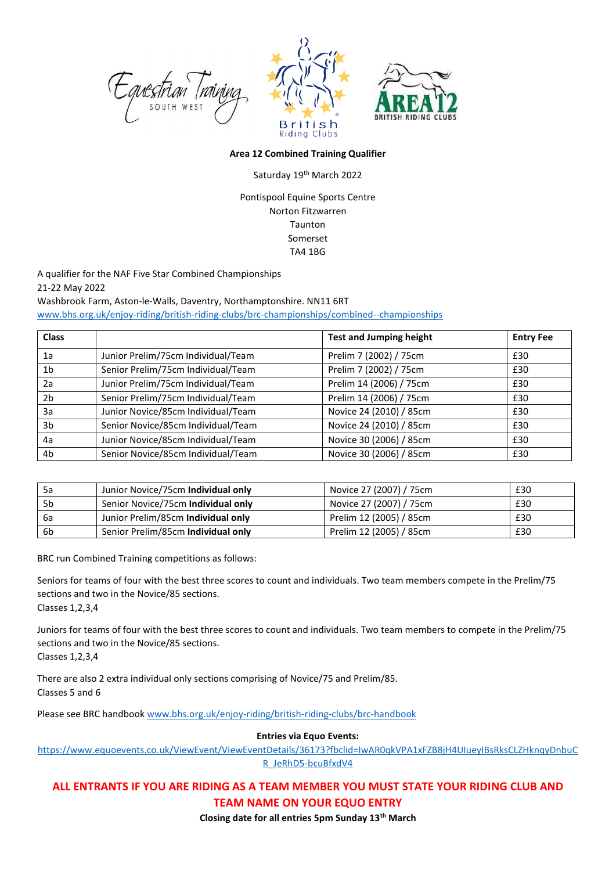



## **Area 12 Combined Training Qualifier**

## Saturday 19th March 2022

Pontispool Equine Sports Centre Norton Fitzwarren Taunton Somerset TA4 1BG

A qualifier for the NAF Five Star Combined Championships 21-22 May 2022 Washbrook Farm, Aston-le-Walls, Daventry, Northamptonshire. NN11 6RT

[www.bhs.org.uk/enjoy-riding/british-riding-clubs/brc-championships/combined--championships](http://www.bhs.org.uk/enjoy-riding/british-riding-clubs/brc-championships/combined--championships)

| <b>Class</b>   |                                    | <b>Test and Jumping height</b> | <b>Entry Fee</b> |
|----------------|------------------------------------|--------------------------------|------------------|
| 1a             | Junior Prelim/75cm Individual/Team | Prelim 7 (2002) / 75cm         | £30              |
| 1 <sub>b</sub> | Senior Prelim/75cm Individual/Team | Prelim 7 (2002) / 75cm         | £30              |
| 2a             | Junior Prelim/75cm Individual/Team | Prelim 14 (2006) / 75cm        | £30              |
| 2 <sub>b</sub> | Senior Prelim/75cm Individual/Team | Prelim 14 (2006) / 75cm        | £30              |
| 3a             | Junior Novice/85cm Individual/Team | Novice 24 (2010) / 85cm        | £30              |
| 3 <sub>b</sub> | Senior Novice/85cm Individual/Team | Novice 24 (2010) / 85cm        | £30              |
| 4a             | Junior Novice/85cm Individual/Team | Novice 30 (2006) / 85cm        | £30              |
| 4b             | Senior Novice/85cm Individual/Team | Novice 30 (2006) / 85cm        | £30              |

| 5a   | Junior Novice/75cm Individual only | Novice 27 (2007) / 75cm | £30 |
|------|------------------------------------|-------------------------|-----|
| 5b   | Senior Novice/75cm Individual only | Novice 27 (2007) / 75cm | £30 |
| - 6а | Junior Prelim/85cm Individual only | Prelim 12 (2005) / 85cm | £30 |
| -6b  | Senior Prelim/85cm Individual only | Prelim 12 (2005) / 85cm | £30 |

BRC run Combined Training competitions as follows:

Seniors for teams of four with the best three scores to count and individuals. Two team members compete in the Prelim/75 sections and two in the Novice/85 sections.

Classes 1,2,3,4

Juniors for teams of four with the best three scores to count and individuals. Two team members to compete in the Prelim/75 sections and two in the Novice/85 sections.

Classes 1,2,3,4

There are also 2 extra individual only sections comprising of Novice/75 and Prelim/85. Classes 5 and 6

Please see BRC handbook [www.bhs.org.uk/enjoy-riding/british-riding-clubs/brc-handbook](http://www.bhs.org.uk/enjoy-riding/british-riding-clubs/brc-handbook)

**Entries via Equo Events:** 

[https://www.equoevents.co.uk/ViewEvent/ViewEventDetails/36173?fbclid=IwAR0qkVPA1xFZB8jH4UIueyIBsRksCLZHknqyDnbuC](https://www.equoevents.co.uk/ViewEvent/ViewEventDetails/36173?fbclid=IwAR0qkVPA1xFZB8jH4UIueyIBsRksCLZHknqyDnbuCR_JeRhD5-bcuBfxdV4) [R\\_JeRhD5-bcuBfxdV4](https://www.equoevents.co.uk/ViewEvent/ViewEventDetails/36173?fbclid=IwAR0qkVPA1xFZB8jH4UIueyIBsRksCLZHknqyDnbuCR_JeRhD5-bcuBfxdV4)

## **ALL ENTRANTS IF YOU ARE RIDING AS A TEAM MEMBER YOU MUST STATE YOUR RIDING CLUB AND TEAM NAME ON YOUR EQUO ENTRY**

**Closing date for all entries 5pm Sunday 13th March**